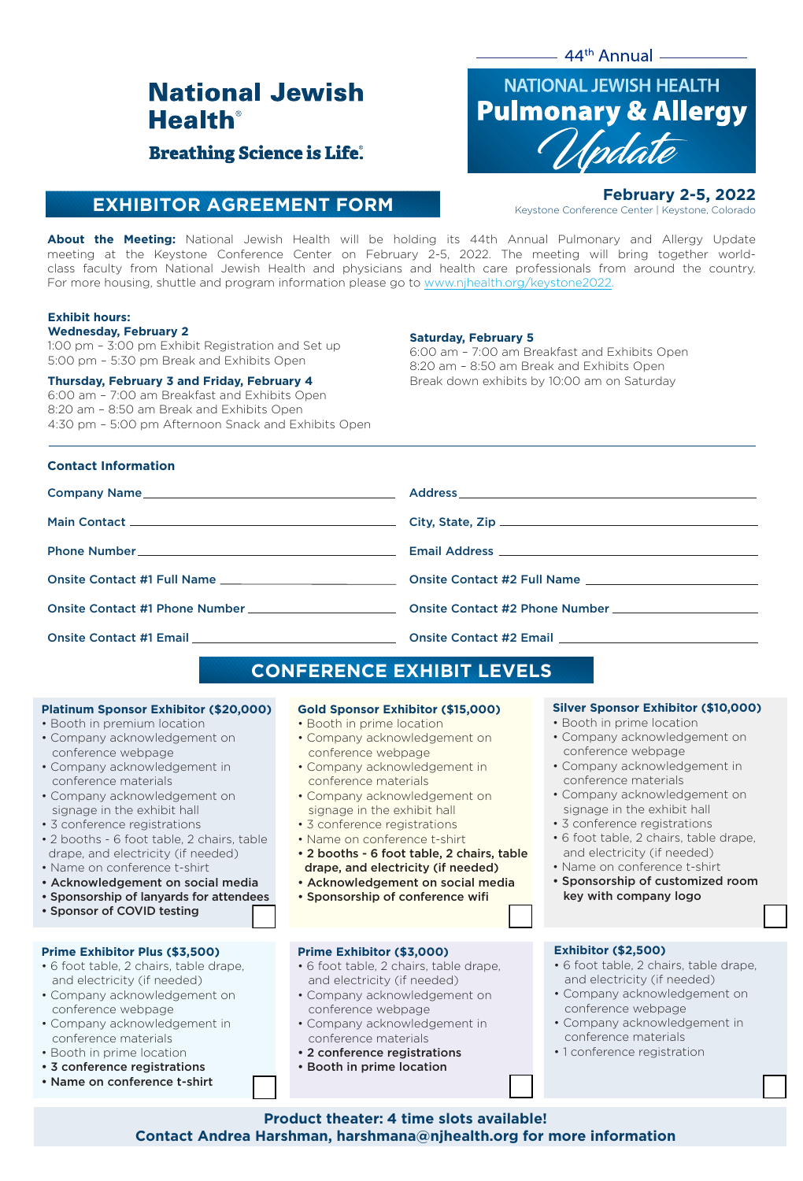$44<sup>th</sup>$  Annual  $\_\_\_\_\_\_\_$ 

# **National Jewish Health**<sup>®</sup>

# **Breathing Science is Life.**

# **EXHIBITOR AGREEMENT FORM**



**February 2-5, 2022** Keystone Conference Center | Keystone, Colorado

**About the Meeting:** National Jewish Health will be holding its 44th Annual Pulmonary and Allergy Update meeting at the Keystone Conference Center on February 2-5, 2022. The meeting will bring together worldclass faculty from National Jewish Health and physicians and health care professionals from around the country. For more housing, shuttle and program information please go to www.njhealth.org/keystone2022

#### **Exhibit hours:**

#### **Wednesday, February 2**

1:00 pm – 3:00 pm Exhibit Registration and Set up 5:00 pm – 5:30 pm Break and Exhibits Open

#### **Thursday, February 3 and Friday, February 4**

6:00 am – 7:00 am Breakfast and Exhibits Open 8:20 am – 8:50 am Break and Exhibits Open 4:30 pm – 5:00 pm Afternoon Snack and Exhibits Open

#### **Saturday, February 5**

6:00 am – 7:00 am Breakfast and Exhibits Open 8:20 am – 8:50 am Break and Exhibits Open Break down exhibits by 10:00 am on Saturday

#### **Contact Information**

#### Company Name Main Contact Phone Number Onsite Contact #1 Full Name Onsite Contact #1 Phone Number Onsite Contact #1 Email **Address** Address \_ City, State, Zip \_\_ \_ Email Address \_\_ Onsite Contact #2 Full Name Onsite Contact #2 Phone Number **CONSIGE CONTACT #2 Email**

# **CONFERENCE EXHIBIT LEVELS**

#### **Platinum Sponsor Exhibitor (\$20,000)**

- Booth in premium location
- Company acknowledgement on conference webpage
- Company acknowledgement in conference materials
- Company acknowledgement on signage in the exhibit hall
- 3 conference registrations
- 2 booths 6 foot table, 2 chairs, table drape, and electricity (if needed)
- Name on conference t-shirt
- Acknowledgement on social media
- Sponsorship of lanyards for attendees
- Sponsor of COVID testing

#### **Prime Exhibitor Plus (\$3,500)**

- 6 foot table, 2 chairs, table drape, and electricity (if needed)
- Company acknowledgement on conference webpage
- Company acknowledgement in conference materials
- Booth in prime location
- 3 conference registrations
- Name on conference t-shirt

#### **Gold Sponsor Exhibitor (\$15,000)**

- Booth in prime location
- Company acknowledgement on conference webpage
- Company acknowledgement in conference materials
- Company acknowledgement on signage in the exhibit hall
- 3 conference registrations
- Name on conference t-shirt
- 2 booths 6 foot table, 2 chairs, table drape, and electricity (if needed)
- Acknowledgement on social media
- Sponsorship of conference wifi

#### **Prime Exhibitor (\$3,000)**

- 6 foot table, 2 chairs, table drape, and electricity (if needed)
- Company acknowledgement on conference webpage
- Company acknowledgement in conference materials
- 2 conference registrations
- Booth in prime location

#### **Silver Sponsor Exhibitor (\$10,000)**

- Booth in prime location
- Company acknowledgement on conference webpage
- Company acknowledgement in conference materials
- Company acknowledgement on signage in the exhibit hall
- 3 conference registrations
- 6 foot table, 2 chairs, table drape, and electricity (if needed)
- Name on conference t-shirt
- Sponsorship of customized room key with company logo

#### **Exhibitor (\$2,500)**

- 6 foot table, 2 chairs, table drape, and electricity (if needed)
- Company acknowledgement on conference webpage
- Company acknowledgement in conference materials
- 1 conference registration

**Product theater: 4 time slots available! Contact Andrea Harshman, harshmana@njhealth.org for more information**